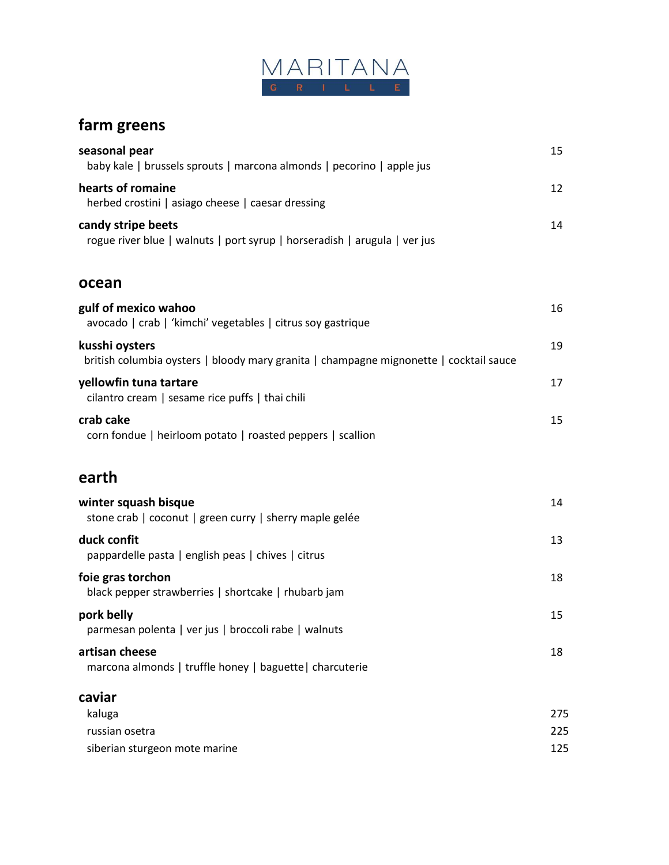

## **farm greens**

| seasonal pear<br>baby kale   brussels sprouts   marcona almonds   pecorino   apple jus                   | 15                |
|----------------------------------------------------------------------------------------------------------|-------------------|
| hearts of romaine<br>herbed crostini   asiago cheese   caesar dressing                                   | 12                |
| candy stripe beets<br>rogue river blue   walnuts   port syrup   horseradish   arugula   ver jus          | 14                |
| ocean                                                                                                    |                   |
| gulf of mexico wahoo<br>avocado   crab   'kimchi' vegetables   citrus soy gastrique                      | 16                |
| kusshi oysters<br>british columbia oysters   bloody mary granita   champagne mignonette   cocktail sauce | 19                |
| yellowfin tuna tartare<br>cilantro cream   sesame rice puffs   thai chili                                | 17                |
| crab cake<br>corn fondue   heirloom potato   roasted peppers   scallion                                  | 15                |
| earth                                                                                                    |                   |
| winter squash bisque<br>stone crab   coconut   green curry   sherry maple gelée                          | 14                |
| duck confit<br>pappardelle pasta   english peas   chives   citrus                                        | 13                |
| foie gras torchon<br>black pepper strawberries   shortcake   rhubarb jam                                 | 18                |
| pork belly<br>parmesan polenta   ver jus   broccoli rabe   walnuts                                       | 15                |
| artisan cheese<br>marcona almonds   truffle honey   baguette   charcuterie                               | 18                |
| caviar<br>kaluga<br>russian osetra<br>siberian sturgeon mote marine                                      | 275<br>225<br>125 |